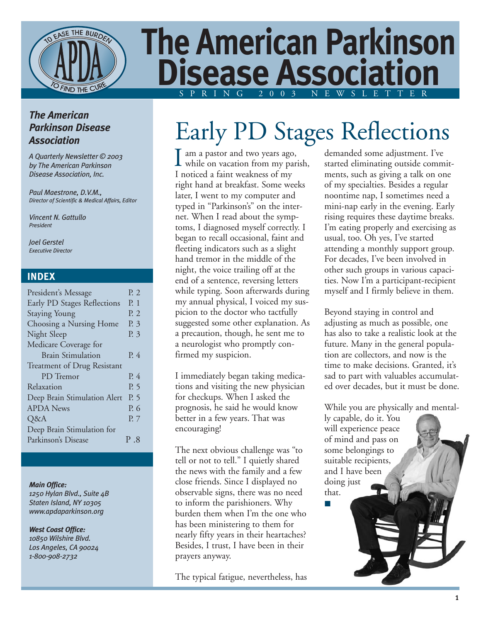

# **The American Parkinson Disease Association** SPRING 2003 NEWSLETTER

### *The American Parkinson Disease Association*

*A Quarterly Newsletter © 2003 by The American Parkinson Disease Association, Inc.*

*Paul Maestrone, D.V.M., Director of Scientific & Medical Affairs, Editor*

*Vincent N. Gattullo President*

*Joel Gerstel Executive Director*

#### **INDEX**

| President's Message          | P. 2 |
|------------------------------|------|
| Early PD Stages Reflections  | P. 1 |
| <b>Staying Young</b>         | P. 2 |
| Choosing a Nursing Home      | P. 3 |
| Night Sleep                  | P. 3 |
| Medicare Coverage for        |      |
| <b>Brain Stimulation</b>     | P. 4 |
| Treatment of Drug Resistant  |      |
| PD Tremor                    | P. 4 |
| Relaxation                   | P. 5 |
| Deep Brain Stimulation Alert | P. 5 |
| <b>APDA News</b>             | P. 6 |
| Q&A                          | P. 7 |
| Deep Brain Stimulation for   |      |
| Parkinson's Disease          | P .8 |
|                              |      |

#### *Main Office:*

*1250 Hylan Blvd., Suite 4B Staten Island, NY 10305 www.apdaparkinson.org*

*West Coast Office: 10850 Wilshire Blvd. Los Angeles, CA 90024 1-800-908-2732*

# Early PD Stages Reflections

am a pastor and two years ago,  $\prod$  am a pastor and two years ago,<br>while on vacation from my parish, I noticed a faint weakness of my right hand at breakfast. Some weeks later, I went to my computer and typed in "Parkinson's" on the internet. When I read about the symptoms, I diagnosed myself correctly. I began to recall occasional, faint and fleeting indicators such as a slight hand tremor in the middle of the night, the voice trailing off at the end of a sentence, reversing letters while typing. Soon afterwards during my annual physical, I voiced my suspicion to the doctor who tactfully suggested some other explanation. As a precaution, though, he sent me to a neurologist who promptly confirmed my suspicion.

I immediately began taking medications and visiting the new physician for checkups. When I asked the prognosis, he said he would know better in a few years. That was encouraging!

The next obvious challenge was "to tell or not to tell." I quietly shared the news with the family and a few close friends. Since I displayed no observable signs, there was no need to inform the parishioners. Why burden them when I'm the one who has been ministering to them for nearly fifty years in their heartaches? Besides, I trust, I have been in their prayers anyway.

The typical fatigue, nevertheless, has

demanded some adjustment. I've started eliminating outside commitments, such as giving a talk on one of my specialties. Besides a regular noontime nap, I sometimes need a mini-nap early in the evening. Early rising requires these daytime breaks. I'm eating properly and exercising as usual, too. Oh yes, I've started attending a monthly support group. For decades, I've been involved in other such groups in various capacities. Now I'm a participant-recipient myself and I firmly believe in them.

Beyond staying in control and adjusting as much as possible, one has also to take a realistic look at the future. Many in the general population are collectors, and now is the time to make decisions. Granted, it's sad to part with valuables accumulated over decades, but it must be done.

While you are physically and mental-

ly capable, do it. You will experience peace of mind and pass on some belongings to suitable recipients, and I have been doing just that. ■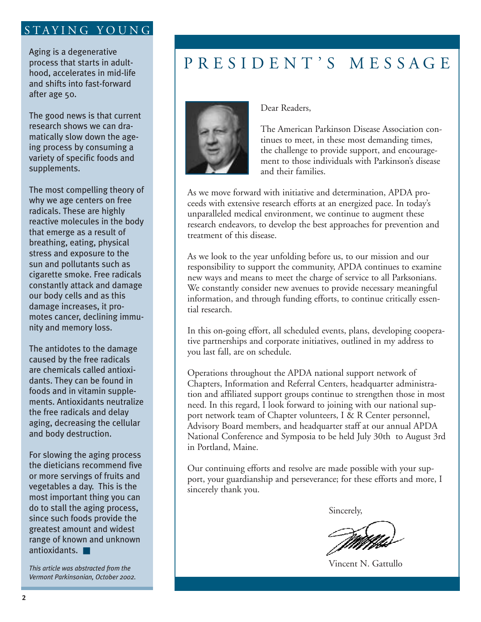### STAYING YOUNG

Aging is a degenerative process that starts in adulthood, accelerates in mid-life and shifts into fast-forward after age 50.

The good news is that current research shows we can dramatically slow down the ageing process by consuming a variety of specific foods and supplements.

The most compelling theory of why we age centers on free radicals. These are highly reactive molecules in the body that emerge as a result of breathing, eating, physical stress and exposure to the sun and pollutants such as cigarette smoke. Free radicals constantly attack and damage our body cells and as this damage increases, it promotes cancer, declining immunity and memory loss.

The antidotes to the damage caused by the free radicals are chemicals called antioxidants. They can be found in foods and in vitamin supplements. Antioxidants neutralize the free radicals and delay aging, decreasing the cellular and body destruction.

For slowing the aging process the dieticians recommend five or more servings of fruits and vegetables a day. This is the most important thing you can do to stall the aging process, since such foods provide the greatest amount and widest range of known and unknown antioxidants. ■

*This article was abstracted from the Vermont Parkinsonian, October 2002.*

# PRESIDENT'S MESSAGE



Dear Readers,

The American Parkinson Disease Association continues to meet, in these most demanding times, the challenge to provide support, and encouragement to those individuals with Parkinson's disease and their families.

As we move forward with initiative and determination, APDA proceeds with extensive research efforts at an energized pace. In today's unparalleled medical environment, we continue to augment these research endeavors, to develop the best approaches for prevention and treatment of this disease.

As we look to the year unfolding before us, to our mission and our responsibility to support the community, APDA continues to examine new ways and means to meet the charge of service to all Parksonians. We constantly consider new avenues to provide necessary meaningful information, and through funding efforts, to continue critically essential research.

In this on-going effort, all scheduled events, plans, developing cooperative partnerships and corporate initiatives, outlined in my address to you last fall, are on schedule.

Operations throughout the APDA national support network of Chapters, Information and Referral Centers, headquarter administration and affiliated support groups continue to strengthen those in most need. In this regard, I look forward to joining with our national support network team of Chapter volunteers, I & R Center personnel, Advisory Board members, and headquarter staff at our annual APDA National Conference and Symposia to be held July 30th to August 3rd in Portland, Maine.

Our continuing efforts and resolve are made possible with your support, your guardianship and perseverance; for these efforts and more, I sincerely thank you.

Sincerely,

Vincent N. Gattullo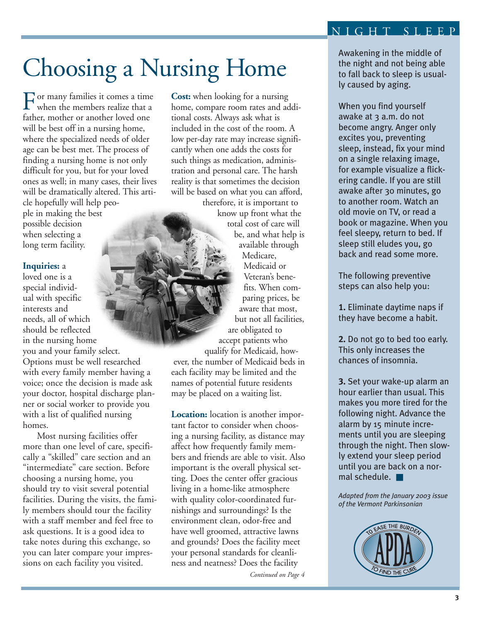### NIGHT SLEEP

# Choosing a Nursing Home

 $\Gamma_{\text{when the members realize that a}}$ when the members realize that a father, mother or another loved one will be best off in a nursing home, where the specialized needs of older age can be best met. The process of finding a nursing home is not only difficult for you, but for your loved ones as well; in many cases, their lives will be dramatically altered. This article hopefully will help people in making the best possible decision when selecting a long term facility.

#### **Inquiries:** a

loved one is a special individual with specific interests and needs, all of which should be reflected in the nursing home you and your family select. Options must be well researched with every family member having a voice; once the decision is made ask your doctor, hospital discharge planner or social worker to provide you with a list of qualified nursing homes.

Most nursing facilities offer more than one level of care, specifically a "skilled" care section and an "intermediate" care section. Before choosing a nursing home, you should try to visit several potential facilities. During the visits, the family members should tour the facility with a staff member and feel free to ask questions. It is a good idea to take notes during this exchange, so you can later compare your impressions on each facility you visited.

**Cost:** when looking for a nursing home, compare room rates and additional costs. Always ask what is included in the cost of the room. A low per-day rate may increase significantly when one adds the costs for such things as medication, administration and personal care. The harsh reality is that sometimes the decision will be based on what you can afford,

therefore, it is important to know up front what the total cost of care will be, and what help is available through Medicare, Medicaid or Veteran's benefits. When comparing prices, be aware that most, but not all facilities, are obligated to accept patients who qualify for Medicaid, however, the number of Medicaid beds in each facility may be limited and the names of potential future residents may be placed on a waiting list.

**Location:** location is another important factor to consider when choosing a nursing facility, as distance may affect how frequently family members and friends are able to visit. Also important is the overall physical setting. Does the center offer gracious living in a home-like atmosphere with quality color-coordinated furnishings and surroundings? Is the environment clean, odor-free and have well groomed, attractive lawns and grounds? Does the facility meet your personal standards for cleanliness and neatness? Does the facility

*Continued on Page 4*

Awakening in the middle of the night and not being able to fall back to sleep is usually caused by aging.

When you find yourself awake at 3 a.m. do not become angry. Anger only excites you, preventing sleep, instead, fix your mind on a single relaxing image, for example visualize a flickering candle. If you are still awake after 30 minutes, go to another room. Watch an old movie on TV, or read a book or magazine. When you feel sleepy, return to bed. If sleep still eludes you, go back and read some more.

The following preventive steps can also help you:

**1.** Eliminate daytime naps if they have become a habit.

**2.** Do not go to bed too early. This only increases the chances of insomnia.

**3.** Set your wake-up alarm an hour earlier than usual. This makes you more tired for the following night. Advance the alarm by 15 minute increments until you are sleeping through the night. Then slowly extend your sleep period until you are back on a normal schedule. ■

*Adapted from the January 2003 issue of the Vermont Parkinsonian*

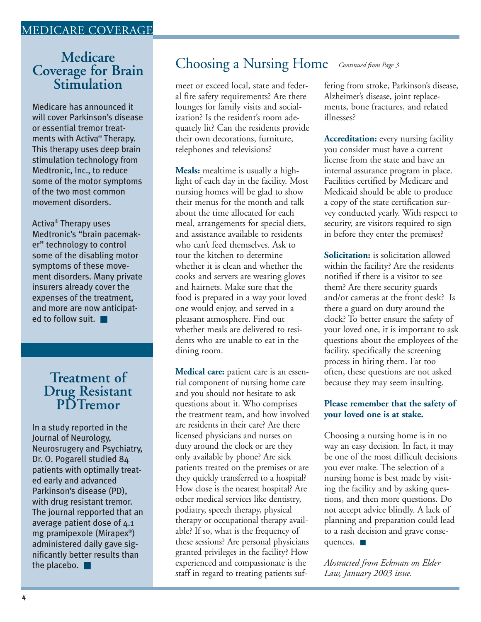### MEDICARE COVERAGE

# **Medicare Coverage for Brain Stimulation**

Medicare has announced it will cover Parkinson's disease or essential tremor treatments with Activa® Therapy. This therapy uses deep brain stimulation technology from Medtronic, Inc., to reduce some of the motor symptoms of the two most common movement disorders.

Activa® Therapy uses Medtronic's "brain pacemaker" technology to control some of the disabling motor symptoms of these movement disorders. Many private insurers already cover the expenses of the treatment, and more are now anticipated to follow suit. ■

## **Treatment of Drug Resistant PDTremor**

In a study reported in the Journal of Neurology, Neurosrugery and Psychiatry, Dr. O. Pogarell studied 84 patients with optimally treated early and advanced Parkinson's disease (PD), with drug resistant tremor. The journal repported that an average patient dose of 4.1 mg pramipexole (Mirapex® ) administered daily gave significantly better results than the placebo. ■

## Choosing a Nursing Home *Continued from Page 3*

meet or exceed local, state and federal fire safety requirements? Are there lounges for family visits and socialization? Is the resident's room adequately lit? Can the residents provide their own decorations, furniture, telephones and televisions?

**Meals:** mealtime is usually a highlight of each day in the facility. Most nursing homes will be glad to show their menus for the month and talk about the time allocated for each meal, arrangements for special diets, and assistance available to residents who can't feed themselves. Ask to tour the kitchen to determine whether it is clean and whether the cooks and servers are wearing gloves and hairnets. Make sure that the food is prepared in a way your loved one would enjoy, and served in a pleasant atmosphere. Find out whether meals are delivered to residents who are unable to eat in the dining room.

**Medical care:** patient care is an essential component of nursing home care and you should not hesitate to ask questions about it. Who comprises the treatment team, and how involved are residents in their care? Are there licensed physicians and nurses on duty around the clock or are they only available by phone? Are sick patients treated on the premises or are they quickly transferred to a hospital? How close is the nearest hospital? Are other medical services like dentistry, podiatry, speech therapy, physical therapy or occupational therapy available? If so, what is the frequency of these sessions? Are personal physicians granted privileges in the facility? How experienced and compassionate is the staff in regard to treating patients suf-

fering from stroke, Parkinson's disease, Alzheimer's disease, joint replacements, bone fractures, and related illnesses?

**Accreditation:** every nursing facility you consider must have a current license from the state and have an internal assurance program in place. Facilities certified by Medicare and Medicaid should be able to produce a copy of the state certification survey conducted yearly. With respect to security, are visitors required to sign in before they enter the premises?

**Solicitation:** is solicitation allowed within the facility? Are the residents notified if there is a visitor to see them? Are there security guards and/or cameras at the front desk? Is there a guard on duty around the clock? To better ensure the safety of your loved one, it is important to ask questions about the employees of the facility, specifically the screening process in hiring them. Far too often, these questions are not asked because they may seem insulting.

#### **Please remember that the safety of your loved one is at stake.**

Choosing a nursing home is in no way an easy decision. In fact, it may be one of the most difficult decisions you ever make. The selection of a nursing home is best made by visiting the facility and by asking questions, and then more questions. Do not accept advice blindly. A lack of planning and preparation could lead to a rash decision and grave consequences. ■

*Abstracted from Eckman on Elder Law, January 2003 issue.*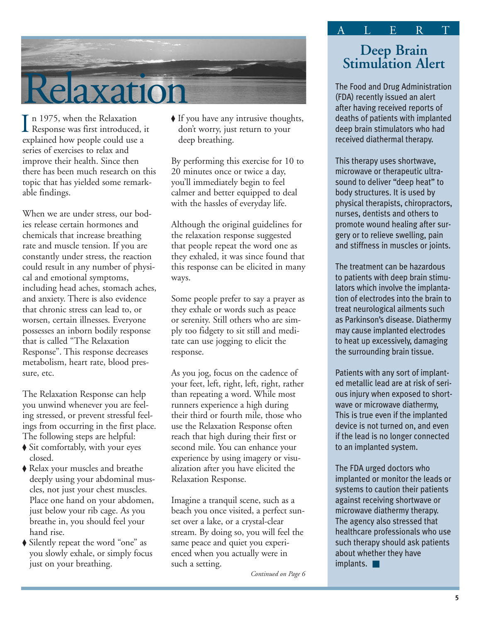

n 1975, when the Relaxation  $\prod_{\text{Response was first introduced, it}}$  and its linear set of the Relaxation explained how people could use a series of exercises to relax and improve their health. Since then there has been much research on this topic that has yielded some remarkable findings.

When we are under stress, our bodies release certain hormones and chemicals that increase breathing rate and muscle tension. If you are constantly under stress, the reaction could result in any number of physical and emotional symptoms, including head aches, stomach aches, and anxiety. There is also evidence that chronic stress can lead to, or worsen, certain illnesses. Everyone possesses an inborn bodily response that is called "The Relaxation Response". This response decreases metabolism, heart rate, blood pressure, etc.

The Relaxation Response can help you unwind whenever you are feeling stressed, or prevent stressful feelings from occurring in the first place. The following steps are helpful:

- ◆ Sit comfortably, with your eyes closed.
- ◆ Relax your muscles and breathe deeply using your abdominal muscles, not just your chest muscles. Place one hand on your abdomen, just below your rib cage. As you breathe in, you should feel your hand rise.
- ◆ Silently repeat the word "one" as you slowly exhale, or simply focus just on your breathing.

◆ If you have any intrusive thoughts, don't worry, just return to your deep breathing.

By performing this exercise for 10 to 20 minutes once or twice a day, you'll immediately begin to feel calmer and better equipped to deal with the hassles of everyday life.

Although the original guidelines for the relaxation response suggested that people repeat the word one as they exhaled, it was since found that this response can be elicited in many ways.

Some people prefer to say a prayer as they exhale or words such as peace or serenity. Still others who are simply too fidgety to sit still and meditate can use jogging to elicit the response.

As you jog, focus on the cadence of your feet, left, right, left, right, rather than repeating a word. While most runners experience a high during their third or fourth mile, those who use the Relaxation Response often reach that high during their first or second mile. You can enhance your experience by using imagery or visualization after you have elicited the Relaxation Response.

Imagine a tranquil scene, such as a beach you once visited, a perfect sunset over a lake, or a crystal-clear stream. By doing so, you will feel the same peace and quiet you experienced when you actually were in such a setting.

*Continued on Page 6*

# **Deep Brain Stimulation Alert**

ALERT

The Food and Drug Administration (FDA) recently issued an alert after having received reports of deaths of patients with implanted deep brain stimulators who had received diathermal therapy.

This therapy uses shortwave, microwave or therapeutic ultrasound to deliver "deep heat" to body structures. It is used by physical therapists, chiropractors, nurses, dentists and others to promote wound healing after surgery or to relieve swelling, pain and stiffness in muscles or joints.

The treatment can be hazardous to patients with deep brain stimulators which involve the implantation of electrodes into the brain to treat neurological ailments such as Parkinson's disease. Diathermy may cause implanted electrodes to heat up excessively, damaging the surrounding brain tissue.

Patients with any sort of implanted metallic lead are at risk of serious injury when exposed to shortwave or microwave diathermy, This is true even if the implanted device is not turned on, and even if the lead is no longer connected to an implanted system.

The FDA urged doctors who implanted or monitor the leads or systems to caution their patients against receiving shortwave or microwave diathermy therapy. The agency also stressed that healthcare professionals who use such therapy should ask patients about whether they have implants. ■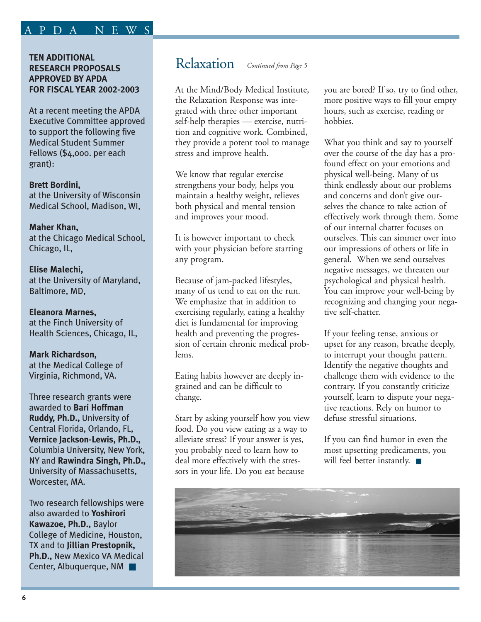## APDA NEWS

#### **TEN ADDITIONAL RESEARCH PROPOSALS APPROVED BY APDA FOR FISCAL YEAR 2002-2003**

At a recent meeting the APDA Executive Committee approved to support the following five Medical Student Summer Fellows (\$4,000. per each grant):

**Brett Bordini,** at the University of Wisconsin Medical School, Madison, WI,

#### **Maher Khan,**

at the Chicago Medical School, Chicago, IL,

#### **Elise Malechi,**

at the University of Maryland, Baltimore, MD,

#### **Eleanora Marnes,**

at the Finch University of Health Sciences, Chicago, IL,

#### **Mark Richardson,**

at the Medical College of Virginia, Richmond, VA.

Three research grants were awarded to **Bari Hoffman Ruddy, Ph.D.,** University of Central Florida, Orlando, FL, **Vernice Jackson-Lewis, Ph.D.,** Columbia University, New York, NY and **Rawindra Singh, Ph.D.,** University of Massachusetts, Worcester, MA.

Two research fellowships were also awarded to **Yoshirori Kawazoe, Ph.D.,** Baylor College of Medicine, Houston, TX and to **Jillian Prestopnik, Ph.D.,** New Mexico VA Medical Center, Albuquerque, NM

## Relaxation *Continued from Page 5*

At the Mind/Body Medical Institute, the Relaxation Response was integrated with three other important self-help therapies — exercise, nutrition and cognitive work. Combined, they provide a potent tool to manage stress and improve health.

We know that regular exercise strengthens your body, helps you maintain a healthy weight, relieves both physical and mental tension and improves your mood.

It is however important to check with your physician before starting any program.

Because of jam-packed lifestyles, many of us tend to eat on the run. We emphasize that in addition to exercising regularly, eating a healthy diet is fundamental for improving health and preventing the progression of certain chronic medical problems.

Eating habits however are deeply ingrained and can be difficult to change.

Start by asking yourself how you view food. Do you view eating as a way to alleviate stress? If your answer is yes, you probably need to learn how to deal more effectively with the stressors in your life. Do you eat because

you are bored? If so, try to find other, more positive ways to fill your empty hours, such as exercise, reading or hobbies.

What you think and say to yourself over the course of the day has a profound effect on your emotions and physical well-being. Many of us think endlessly about our problems and concerns and don't give ourselves the chance to take action of effectively work through them. Some of our internal chatter focuses on ourselves. This can simmer over into our impressions of others or life in general. When we send ourselves negative messages, we threaten our psychological and physical health. You can improve your well-being by recognizing and changing your negative self-chatter.

If your feeling tense, anxious or upset for any reason, breathe deeply, to interrupt your thought pattern. Identify the negative thoughts and challenge them with evidence to the contrary. If you constantly criticize yourself, learn to dispute your negative reactions. Rely on humor to defuse stressful situations.

If you can find humor in even the most upsetting predicaments, you will feel better instantly. ■

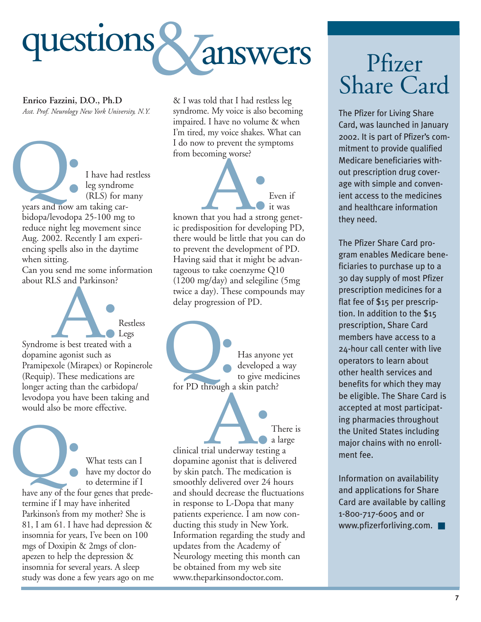

**Enrico Fazzini, D.O., Ph.D** *Asst. Prof. Neurology New York University, N.Y.*

I have had restless leg syndrome (RLS) for many I have had r<br>leg syndrom<br>(RLS) for m<br>years and now am taking carbidopa/levodopa 25-100 mg to reduce night leg movement since Aug. 2002. Recently I am experiencing spells also in the daytime when sitting.

Can you send me some information about RLS and Parkinson?



Syndrome is best treated with a dopamine agonist such as Pramipexole (Mirapex) or Ropinerole (Requip). These medications are longer acting than the carbidopa/ levodopa you have been taking and would also be more effective.

What tests can I have my doctor do to determine if I What tests can I<br>have my doctor do<br>to determine if I<br>have any of the four genes that predetermine if I may have inherited Parkinson's from my mother? She is 81, I am 61. I have had depression & insomnia for years, I've been on 100 mgs of Doxipin & 2mgs of clonapezen to help the depression & insomnia for several years. A sleep study was done a few years ago on me & I was told that I had restless leg syndrome. My voice is also becoming impaired. I have no volume & when I'm tired, my voice shakes. What can I do now to prevent the symptoms from becoming worse?



known that you had a strong genetic predisposition for developing PD, there would be little that you can do to prevent the development of PD. Having said that it might be advantageous to take coenzyme Q10 (1200 mg/day) and selegiline (5mg twice a day). These compounds may delay progression of PD.

Has anyone yet developed a way to give medicines Has anyone<br>developed a<br>for PD through a skin patch?

There is a large clinical trial underway testing a dopamine agonist that is delivered by skin patch. The medication is smoothly delivered over 24 hours and should decrease the fluctuations in response to L-Dopa that many patients experience. I am now conducting this study in New York. Information regarding the study and updates from the Academy of Neurology meeting this month can be obtained from my web site www.theparkinsondoctor.com. Trial underway testine

# Pfizer Share Card

The Pfizer for Living Share Card, was launched in January 2002. It is part of Pfizer's commitment to provide qualified Medicare beneficiaries without prescription drug coverage with simple and convenient access to the medicines and healthcare information they need.

The Pfizer Share Card program enables Medicare beneficiaries to purchase up to a 30 day supply of most Pfizer prescription medicines for a flat fee of \$15 per prescription. In addition to the \$15 prescription, Share Card members have access to a 24-hour call center with live operators to learn about other health services and benefits for which they may be eligible. The Share Card is accepted at most participating pharmacies throughout the United States including major chains with no enrollment fee.

Information on availability and applications for Share Card are available by calling 1-800-717-6005 and or www.pfizerforliving.com. ■